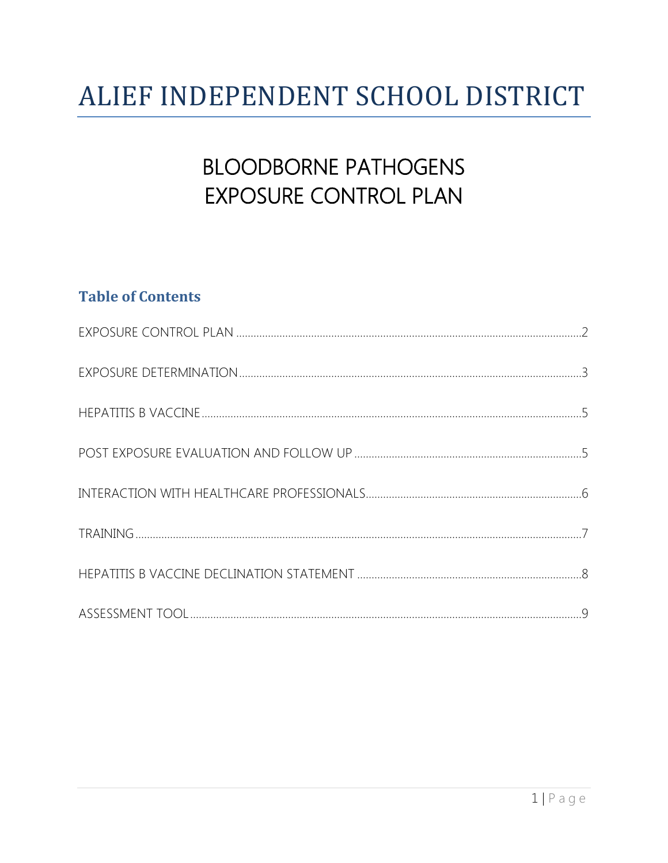# ALIEF INDEPENDENT SCHOOL DISTRICT

## **BLOODBORNE PATHOGENS EXPOSURE CONTROL PLAN**

## **Table of Contents**

<span id="page-0-0"></span>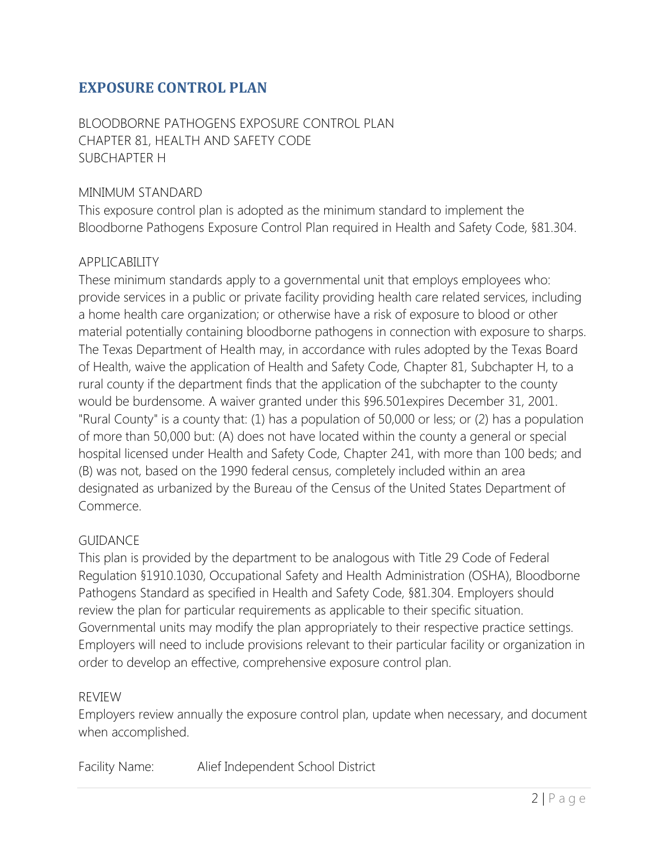## **EXPOSURE CONTROL PLAN**

BLOODBORNE PATHOGENS EXPOSURE CONTROL PLAN CHAPTER 81, HEALTH AND SAFETY CODE SUBCHAPTER H

#### MINIMUM STANDARD

This exposure control plan is adopted as the minimum standard to implement the Bloodborne Pathogens Exposure Control Plan required in Health and Safety Code, §81.304.

#### APPLICABILITY

These minimum standards apply to a governmental unit that employs employees who: provide services in a public or private facility providing health care related services, including a home health care organization; or otherwise have a risk of exposure to blood or other material potentially containing bloodborne pathogens in connection with exposure to sharps. The Texas Department of Health may, in accordance with rules adopted by the Texas Board of Health, waive the application of Health and Safety Code, Chapter 81, Subchapter H, to a rural county if the department finds that the application of the subchapter to the county would be burdensome. A waiver granted under this §96.501expires December 31, 2001. "Rural County" is a county that: (1) has a population of 50,000 or less; or (2) has a population of more than 50,000 but: (A) does not have located within the county a general or special hospital licensed under Health and Safety Code, Chapter 241, with more than 100 beds; and (B) was not, based on the 1990 federal census, completely included within an area designated as urbanized by the Bureau of the Census of the United States Department of Commerce.

#### GUIDANCE

This plan is provided by the department to be analogous with Title 29 Code of Federal Regulation §1910.1030, Occupational Safety and Health Administration (OSHA), Bloodborne Pathogens Standard as specified in Health and Safety Code, §81.304. Employers should review the plan for particular requirements as applicable to their specific situation. Governmental units may modify the plan appropriately to their respective practice settings. Employers will need to include provisions relevant to their particular facility or organization in order to develop an effective, comprehensive exposure control plan.

#### REVIEW

Employers review annually the exposure control plan, update when necessary, and document when accomplished.

Facility Name: Alief Independent School District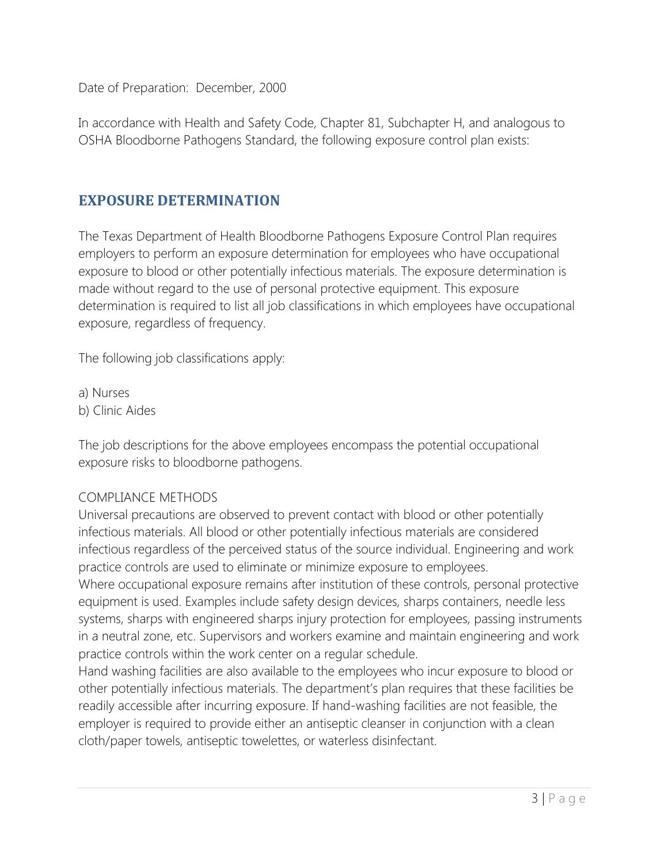Date of Preparation: December, 2000

In accordance with Health and Safety Code, Chapter 81, Subchapter H, and analogous to OSHA Bloodborne Pathogens Standard, the following exposure control plan exists:

### <span id="page-2-0"></span>**EXPOSURE DETERMINATION**

The Texas Department of Health Bloodborne Pathogens Exposure Control Plan requires employers to perform an exposure determination for employees who have occupational exposure to blood or other potentially infectious materials. The exposure determination is made without regard to the use of personal protective equipment. This exposure determination is required to list all job classifications in which employees have occupational exposure, regardless of frequency.

The following job classifications apply:

a) Nurses b) Clinic Aides

The job descriptions for the above employees encompass the potential occupational exposure risks to bloodborne pathogens.

#### COMPLIANCE METHODS

Universal precautions are observed to prevent contact with blood or other potentially infectious materials. All blood or other potentially infectious materials are considered infectious regardless of the perceived status of the source individual. Engineering and work practice controls are used to eliminate or minimize exposure to employees.

Where occupational exposure remains after institution of these controls, personal protective equipment is used. Examples include safety design devices, sharps containers, needle less systems, sharps with engineered sharps injury protection for employees, passing instruments in a neutral zone, etc. Supervisors and workers examine and maintain engineering and work practice controls within the work center on a regular schedule.

Hand washing facilities are also available to the employees who incur exposure to blood or other potentially infectious materials. The department's plan requires that these facilities be readily accessible after incurring exposure. If hand-washing facilities are not feasible, the employer is required to provide either an antiseptic cleanser in conjunction with a clean cloth/paper towels, antiseptic towelettes, or waterless disinfectant.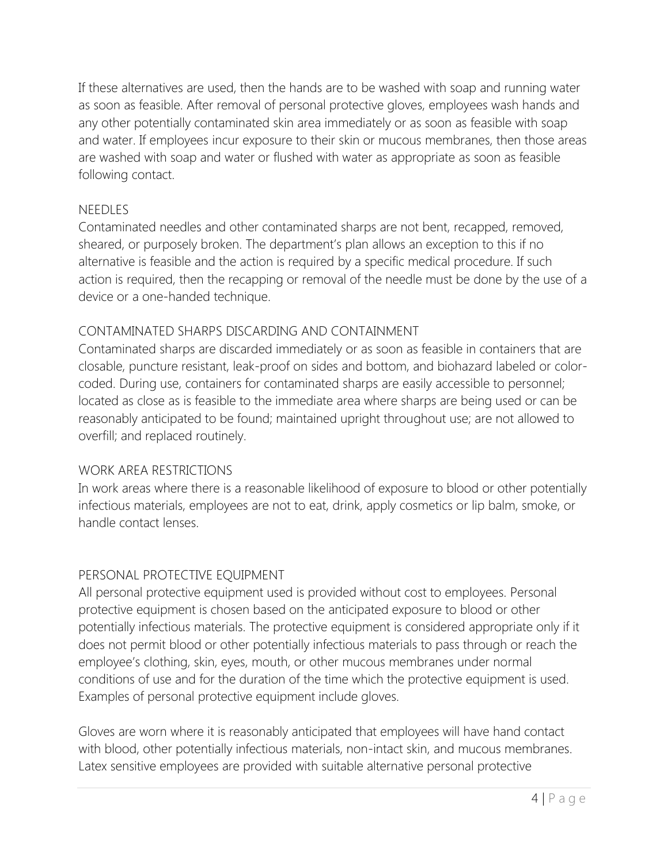If these alternatives are used, then the hands are to be washed with soap and running water as soon as feasible. After removal of personal protective gloves, employees wash hands and any other potentially contaminated skin area immediately or as soon as feasible with soap and water. If employees incur exposure to their skin or mucous membranes, then those areas are washed with soap and water or flushed with water as appropriate as soon as feasible following contact.

#### NEEDLES

Contaminated needles and other contaminated sharps are not bent, recapped, removed, sheared, or purposely broken. The department's plan allows an exception to this if no alternative is feasible and the action is required by a specific medical procedure. If such action is required, then the recapping or removal of the needle must be done by the use of a device or a one-handed technique.

#### CONTAMINATED SHARPS DISCARDING AND CONTAINMENT

Contaminated sharps are discarded immediately or as soon as feasible in containers that are closable, puncture resistant, leak-proof on sides and bottom, and biohazard labeled or colorcoded. During use, containers for contaminated sharps are easily accessible to personnel; located as close as is feasible to the immediate area where sharps are being used or can be reasonably anticipated to be found; maintained upright throughout use; are not allowed to overfill; and replaced routinely.

#### WORK AREA RESTRICTIONS

In work areas where there is a reasonable likelihood of exposure to blood or other potentially infectious materials, employees are not to eat, drink, apply cosmetics or lip balm, smoke, or handle contact lenses.

#### PERSONAL PROTECTIVE EQUIPMENT

All personal protective equipment used is provided without cost to employees. Personal protective equipment is chosen based on the anticipated exposure to blood or other potentially infectious materials. The protective equipment is considered appropriate only if it does not permit blood or other potentially infectious materials to pass through or reach the employee's clothing, skin, eyes, mouth, or other mucous membranes under normal conditions of use and for the duration of the time which the protective equipment is used. Examples of personal protective equipment include gloves.

Gloves are worn where it is reasonably anticipated that employees will have hand contact with blood, other potentially infectious materials, non-intact skin, and mucous membranes. Latex sensitive employees are provided with suitable alternative personal protective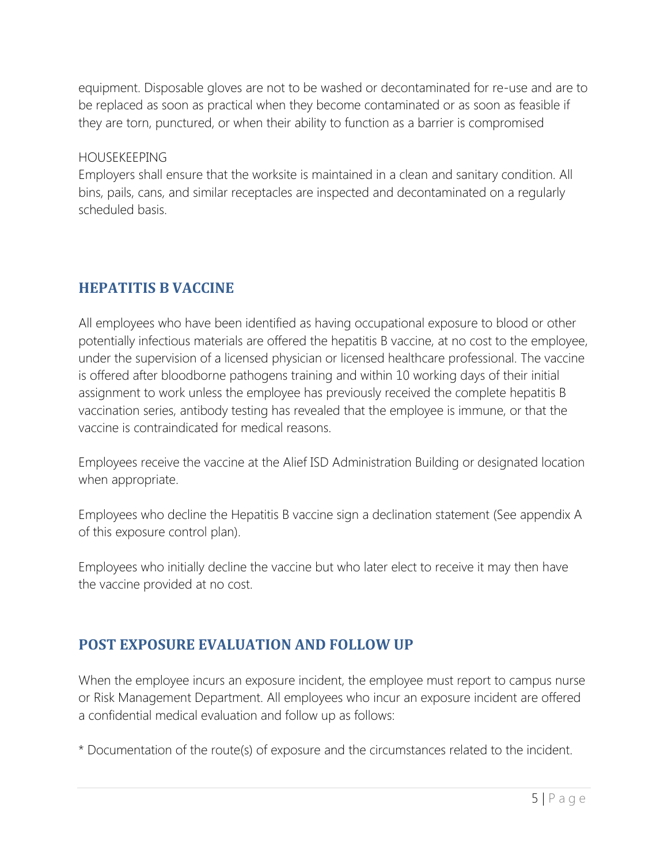equipment. Disposable gloves are not to be washed or decontaminated for re-use and are to be replaced as soon as practical when they become contaminated or as soon as feasible if they are torn, punctured, or when their ability to function as a barrier is compromised

#### HOUSEKEEPING

Employers shall ensure that the worksite is maintained in a clean and sanitary condition. All bins, pails, cans, and similar receptacles are inspected and decontaminated on a regularly scheduled basis.

## <span id="page-4-0"></span>**HEPATITIS B VACCINE**

All employees who have been identified as having occupational exposure to blood or other potentially infectious materials are offered the hepatitis B vaccine, at no cost to the employee, under the supervision of a licensed physician or licensed healthcare professional. The vaccine is offered after bloodborne pathogens training and within 10 working days of their initial assignment to work unless the employee has previously received the complete hepatitis B vaccination series, antibody testing has revealed that the employee is immune, or that the vaccine is contraindicated for medical reasons.

Employees receive the vaccine at the Alief ISD Administration Building or designated location when appropriate.

Employees who decline the Hepatitis B vaccine sign a declination statement (See appendix A of this exposure control plan).

Employees who initially decline the vaccine but who later elect to receive it may then have the vaccine provided at no cost.

## <span id="page-4-1"></span>**POST EXPOSURE EVALUATION AND FOLLOW UP**

When the employee incurs an exposure incident, the employee must report to campus nurse or Risk Management Department. All employees who incur an exposure incident are offered a confidential medical evaluation and follow up as follows:

\* Documentation of the route(s) of exposure and the circumstances related to the incident.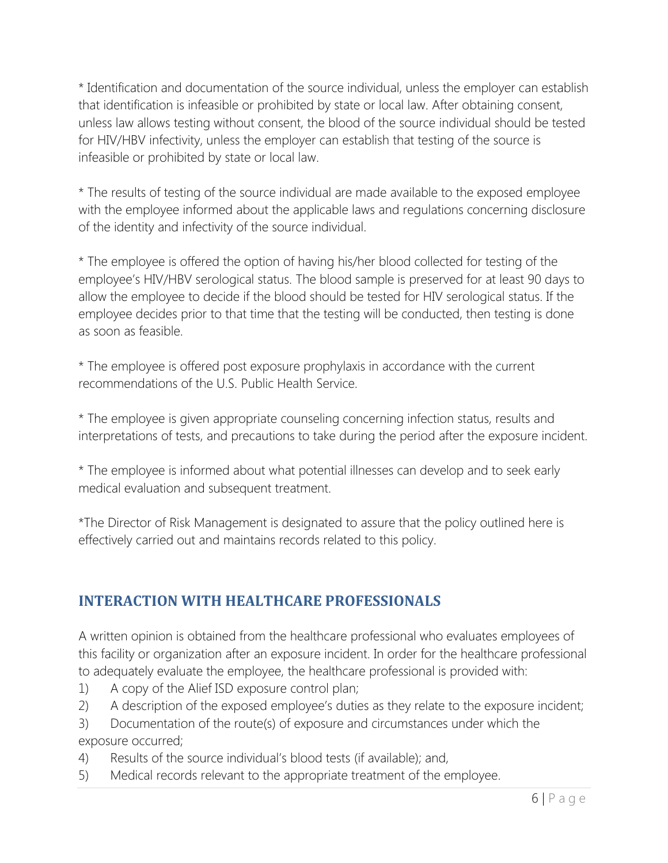\* Identification and documentation of the source individual, unless the employer can establish that identification is infeasible or prohibited by state or local law. After obtaining consent, unless law allows testing without consent, the blood of the source individual should be tested for HIV/HBV infectivity, unless the employer can establish that testing of the source is infeasible or prohibited by state or local law.

\* The results of testing of the source individual are made available to the exposed employee with the employee informed about the applicable laws and regulations concerning disclosure of the identity and infectivity of the source individual.

\* The employee is offered the option of having his/her blood collected for testing of the employee's HIV/HBV serological status. The blood sample is preserved for at least 90 days to allow the employee to decide if the blood should be tested for HIV serological status. If the employee decides prior to that time that the testing will be conducted, then testing is done as soon as feasible.

\* The employee is offered post exposure prophylaxis in accordance with the current recommendations of the U.S. Public Health Service.

\* The employee is given appropriate counseling concerning infection status, results and interpretations of tests, and precautions to take during the period after the exposure incident.

\* The employee is informed about what potential illnesses can develop and to seek early medical evaluation and subsequent treatment.

\*The Director of Risk Management is designated to assure that the policy outlined here is effectively carried out and maintains records related to this policy.

## <span id="page-5-0"></span>**INTERACTION WITH HEALTHCARE PROFESSIONALS**

A written opinion is obtained from the healthcare professional who evaluates employees of this facility or organization after an exposure incident. In order for the healthcare professional to adequately evaluate the employee, the healthcare professional is provided with:

- 1) A copy of the Alief ISD exposure control plan;
- 2) A description of the exposed employee's duties as they relate to the exposure incident;
- 3) Documentation of the route(s) of exposure and circumstances under which the exposure occurred;
- 4) Results of the source individual's blood tests (if available); and,
- 5) Medical records relevant to the appropriate treatment of the employee.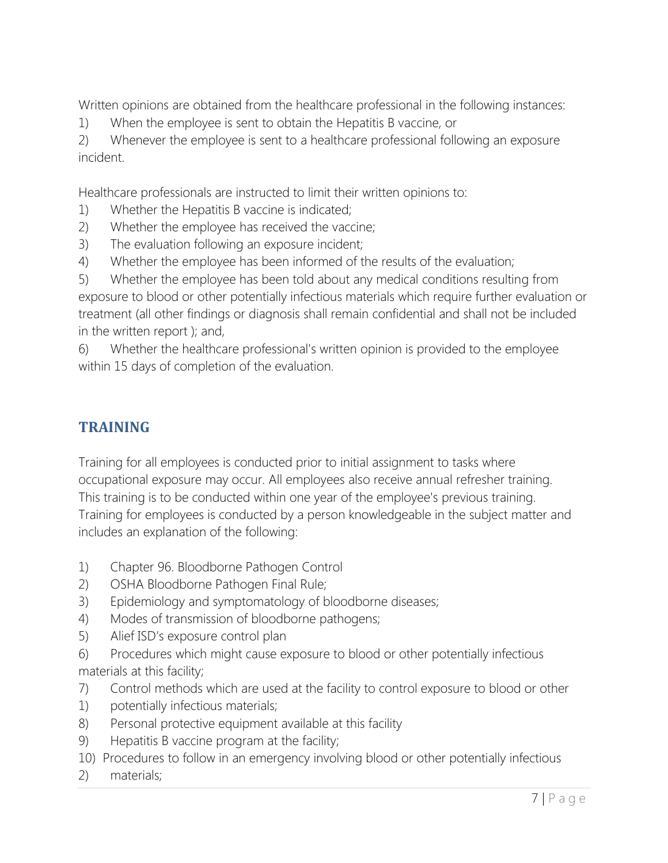Written opinions are obtained from the healthcare professional in the following instances:

1) When the employee is sent to obtain the Hepatitis B vaccine, or

2) Whenever the employee is sent to a healthcare professional following an exposure incident.

Healthcare professionals are instructed to limit their written opinions to:

- 1) Whether the Hepatitis B vaccine is indicated;
- 2) Whether the employee has received the vaccine;
- 3) The evaluation following an exposure incident;
- 4) Whether the employee has been informed of the results of the evaluation;

5) Whether the employee has been told about any medical conditions resulting from exposure to blood or other potentially infectious materials which require further evaluation or treatment (all other findings or diagnosis shall remain confidential and shall not be included in the written report ); and,

6) Whether the healthcare professional's written opinion is provided to the employee within 15 days of completion of the evaluation.

## <span id="page-6-0"></span>**TRAINING**

Training for all employees is conducted prior to initial assignment to tasks where occupational exposure may occur. All employees also receive annual refresher training. This training is to be conducted within one year of the employee's previous training. Training for employees is conducted by a person knowledgeable in the subject matter and includes an explanation of the following:

- 1) Chapter 96. Bloodborne Pathogen Control
- 2) OSHA Bloodborne Pathogen Final Rule;
- 3) Epidemiology and symptomatology of bloodborne diseases;
- 4) Modes of transmission of bloodborne pathogens;
- 5) Alief ISD's exposure control plan

6) Procedures which might cause exposure to blood or other potentially infectious materials at this facility;

- 7) Control methods which are used at the facility to control exposure to blood or other
- 1) potentially infectious materials;
- 8) Personal protective equipment available at this facility
- 9) Hepatitis B vaccine program at the facility;
- 10) Procedures to follow in an emergency involving blood or other potentially infectious
- 2) materials;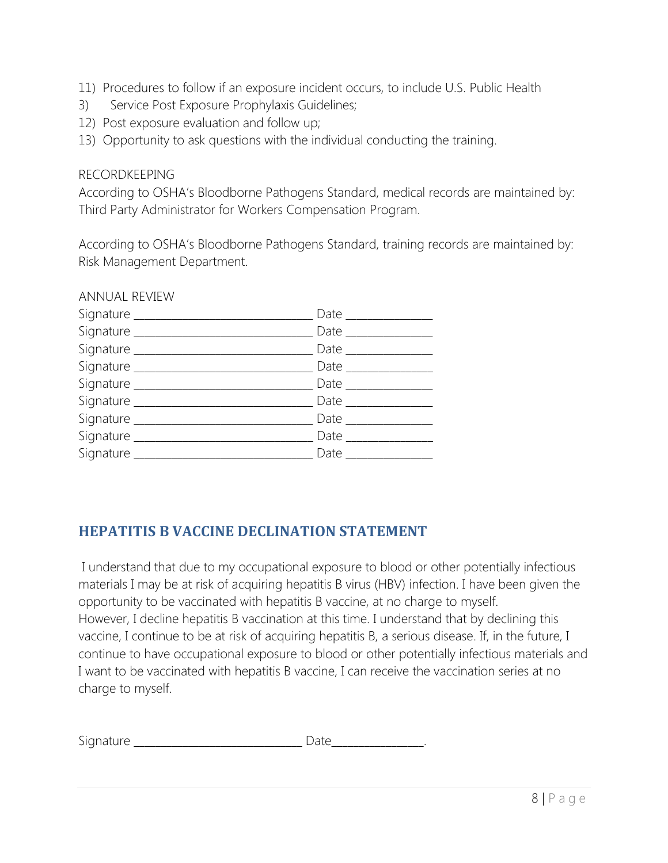- 11) Procedures to follow if an exposure incident occurs, to include U.S. Public Health
- 3) Service Post Exposure Prophylaxis Guidelines;
- 12) Post exposure evaluation and follow up;
- 13) Opportunity to ask questions with the individual conducting the training.

#### RECORDKEEPING

ANIMUAL REVIEW

According to OSHA's Bloodborne Pathogens Standard, medical records are maintained by: Third Party Administrator for Workers Compensation Program.

According to OSHA's Bloodborne Pathogens Standard, training records are maintained by: Risk Management Department.

| ANNUAL REVIEW                     |                                     |
|-----------------------------------|-------------------------------------|
| Signature ______________________  | Date $\_\_\_\_\_\_\_\_\_\_\_\_\_\_$ |
|                                   | Date $\_\_$                         |
| Signature _______                 | Date $\_\_$                         |
|                                   | Date $\_\_$                         |
| Signature _______________________ | Date $\_\_\_\_\_\_\_\_\_\_\_\_$     |
| Signature ________                | Date $\_\_\_\_\_\_\_\_\_\_\_\_\_$   |
| Signature _________               | Date $\_\_\_\_\_\_\_\_\_\_\_\_\_\_$ |
| Signature ________                | Date $\_\_$                         |
| Signature ____                    | Date $\_\_\_\_\_\_\_\$              |
|                                   |                                     |

## <span id="page-7-0"></span>**HEPATITIS B VACCINE DECLINATION STATEMENT**

I understand that due to my occupational exposure to blood or other potentially infectious materials I may be at risk of acquiring hepatitis B virus (HBV) infection. I have been given the opportunity to be vaccinated with hepatitis B vaccine, at no charge to myself. However, I decline hepatitis B vaccination at this time. I understand that by declining this vaccine, I continue to be at risk of acquiring hepatitis B, a serious disease. If, in the future, I continue to have occupational exposure to blood or other potentially infectious materials and I want to be vaccinated with hepatitis B vaccine, I can receive the vaccination series at no charge to myself.

| Signature |  |  |
|-----------|--|--|
| . .       |  |  |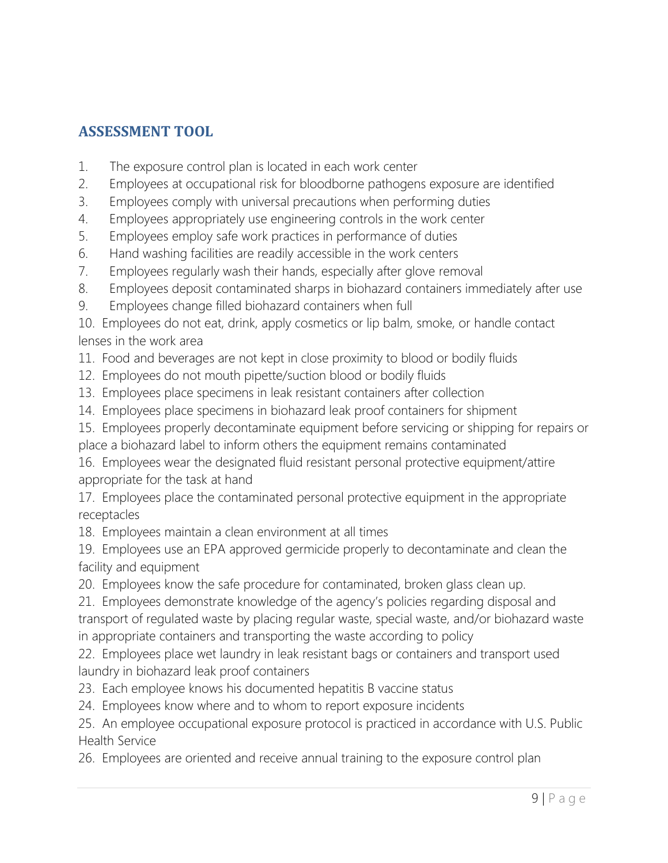## <span id="page-8-0"></span>**ASSESSMENT TOOL**

- 1. The exposure control plan is located in each work center
- 2. Employees at occupational risk for bloodborne pathogens exposure are identified
- 3. Employees comply with universal precautions when performing duties
- 4. Employees appropriately use engineering controls in the work center
- 5. Employees employ safe work practices in performance of duties
- 6. Hand washing facilities are readily accessible in the work centers
- 7. Employees regularly wash their hands, especially after glove removal
- 8. Employees deposit contaminated sharps in biohazard containers immediately after use
- 9. Employees change filled biohazard containers when full

10. Employees do not eat, drink, apply cosmetics or lip balm, smoke, or handle contact lenses in the work area

- 11. Food and beverages are not kept in close proximity to blood or bodily fluids
- 12. Employees do not mouth pipette/suction blood or bodily fluids
- 13. Employees place specimens in leak resistant containers after collection
- 14. Employees place specimens in biohazard leak proof containers for shipment

15. Employees properly decontaminate equipment before servicing or shipping for repairs or place a biohazard label to inform others the equipment remains contaminated

16. Employees wear the designated fluid resistant personal protective equipment/attire appropriate for the task at hand

17. Employees place the contaminated personal protective equipment in the appropriate receptacles

18. Employees maintain a clean environment at all times

19. Employees use an EPA approved germicide properly to decontaminate and clean the facility and equipment

20. Employees know the safe procedure for contaminated, broken glass clean up.

21. Employees demonstrate knowledge of the agency's policies regarding disposal and transport of regulated waste by placing regular waste, special waste, and/or biohazard waste in appropriate containers and transporting the waste according to policy

22. Employees place wet laundry in leak resistant bags or containers and transport used laundry in biohazard leak proof containers

- 23. Each employee knows his documented hepatitis B vaccine status
- 24. Employees know where and to whom to report exposure incidents

25. An employee occupational exposure protocol is practiced in accordance with U.S. Public Health Service

26. Employees are oriented and receive annual training to the exposure control plan